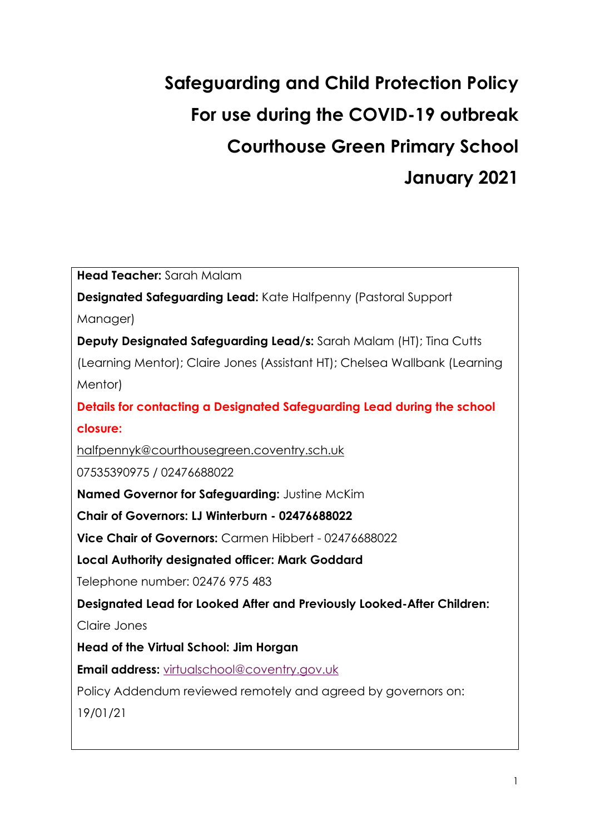# **Safeguarding and Child Protection Policy For use during the COVID-19 outbreak Courthouse Green Primary School January 2021**

**Head Teacher:** Sarah Malam **Designated Safeguarding Lead:** Kate Halfpenny (Pastoral Support Manager) **Deputy Designated Safeguarding Lead/s:** Sarah Malam (HT); Tina Cutts (Learning Mentor); Claire Jones (Assistant HT); Chelsea Wallbank (Learning Mentor) **Details for contacting a Designated Safeguarding Lead during the school closure:**  [halfpennyk@courthousegreen.coventry.sch.uk](mailto:halfpennyk@courthousegreen.coventry.sch.uk) 07535390975 / 02476688022 **Named Governor for Safeguarding:** Justine McKim **Chair of Governors: LJ Winterburn - 02476688022 Vice Chair of Governors:** Carmen Hibbert - 02476688022 **Local Authority designated officer: Mark Goddard**  Telephone number: 02476 975 483 **Designated Lead for Looked After and Previously Looked-After Children:**  Claire Jones **Head of the Virtual School: Jim Horgan Email address:** [virtualschool@coventry.gov.uk](mailto:virtualschool%40coventry.gov.uk) Policy Addendum reviewed remotely and agreed by governors on: 19/01/21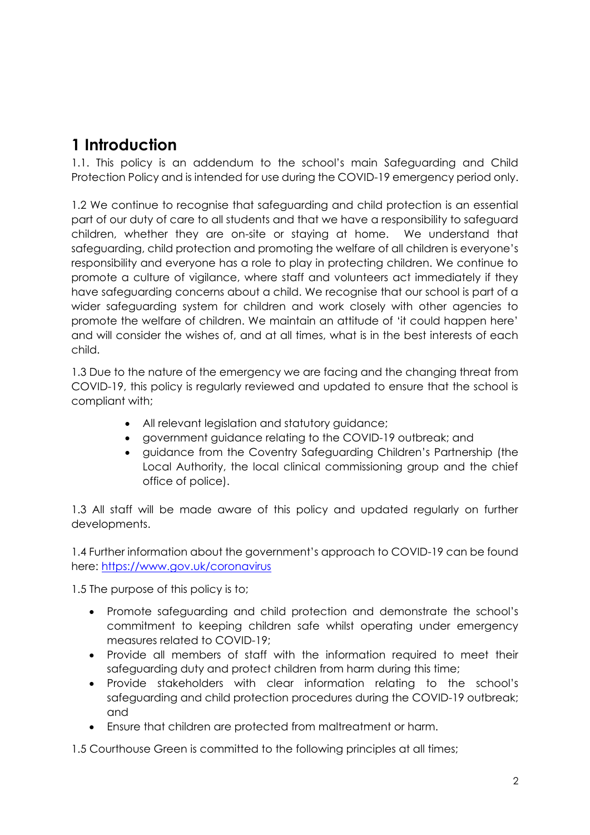# **1 Introduction**

1.1. This policy is an addendum to the school's main Safeguarding and Child Protection Policy and is intended for use during the COVID-19 emergency period only.

1.2 We continue to recognise that safeguarding and child protection is an essential part of our duty of care to all students and that we have a responsibility to safeguard children, whether they are on-site or staying at home. We understand that safeguarding, child protection and promoting the welfare of all children is everyone's responsibility and everyone has a role to play in protecting children. We continue to promote a culture of vigilance, where staff and volunteers act immediately if they have safeguarding concerns about a child. We recognise that our school is part of a wider safeguarding system for children and work closely with other agencies to promote the welfare of children. We maintain an attitude of 'it could happen here' and will consider the wishes of, and at all times, what is in the best interests of each child.

1.3 Due to the nature of the emergency we are facing and the changing threat from COVID-19, this policy is regularly reviewed and updated to ensure that the school is compliant with;

- All relevant legislation and statutory guidance;
- government guidance relating to the COVID-19 outbreak; and
- guidance from the Coventry Safeguarding Children's Partnership (the Local Authority, the local clinical commissioning group and the chief office of police).

1.3 All staff will be made aware of this policy and updated regularly on further developments.

1.4 Further information about the government's approach to COVID-19 can be found here: <https://www.gov.uk/coronavirus>

1.5 The purpose of this policy is to;

- Promote safeguarding and child protection and demonstrate the school's commitment to keeping children safe whilst operating under emergency measures related to COVID-19;
- Provide all members of staff with the information required to meet their safeguarding duty and protect children from harm during this time;
- Provide stakeholders with clear information relating to the school's safeguarding and child protection procedures during the COVID-19 outbreak; and
- Ensure that children are protected from maltreatment or harm.

1.5 Courthouse Green is committed to the following principles at all times;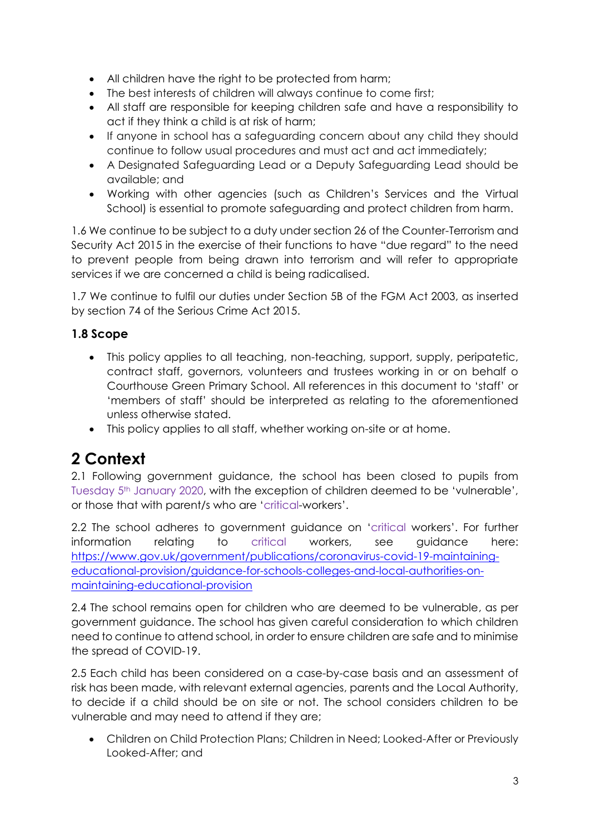- All children have the right to be protected from harm;
- The best interests of children will always continue to come first;
- All staff are responsible for keeping children safe and have a responsibility to act if they think a child is at risk of harm;
- If anyone in school has a safeguarding concern about any child they should continue to follow usual procedures and must act and act immediately;
- A Designated Safeguarding Lead or a Deputy Safeguarding Lead should be available; and
- Working with other agencies (such as Children's Services and the Virtual School) is essential to promote safeguarding and protect children from harm.

1.6 We continue to be subject to a duty under section 26 of the Counter-Terrorism and Security Act 2015 in the exercise of their functions to have "due regard" to the need to prevent people from being drawn into terrorism and will refer to appropriate services if we are concerned a child is being radicalised.

1.7 We continue to fulfil our duties under Section 5B of the FGM Act 2003, as inserted by section 74 of the Serious Crime Act 2015.

### **1.8 Scope**

- This policy applies to all teaching, non-teaching, support, supply, peripatetic, contract staff, governors, volunteers and trustees working in or on behalf o Courthouse Green Primary School. All references in this document to 'staff' or 'members of staff' should be interpreted as relating to the aforementioned unless otherwise stated.
- This policy applies to all staff, whether working on-site or at home.

# **2 Context**

2.1 Following government guidance, the school has been closed to pupils from Tuesday 5th January 2020, with the exception of children deemed to be 'vulnerable', or those that with parent/s who are 'critical-workers'.

2.2 The school adheres to government guidance on 'critical workers'. For further information relating to critical workers, see guidance here: [https://www.gov.uk/government/publications/coronavirus-covid-19-maintaining](https://www.gov.uk/government/publications/coronavirus-covid-19-maintaining-educational-provision/guidance-for-schools-colleges-and-local-authorities-on-maintaining-educational-provision)[educational-provision/guidance-for-schools-colleges-and-local-authorities-on](https://www.gov.uk/government/publications/coronavirus-covid-19-maintaining-educational-provision/guidance-for-schools-colleges-and-local-authorities-on-maintaining-educational-provision)[maintaining-educational-provision](https://www.gov.uk/government/publications/coronavirus-covid-19-maintaining-educational-provision/guidance-for-schools-colleges-and-local-authorities-on-maintaining-educational-provision)

2.4 The school remains open for children who are deemed to be vulnerable, as per government guidance. The school has given careful consideration to which children need to continue to attend school, in order to ensure children are safe and to minimise the spread of COVID-19.

2.5 Each child has been considered on a case-by-case basis and an assessment of risk has been made, with relevant external agencies, parents and the Local Authority, to decide if a child should be on site or not. The school considers children to be vulnerable and may need to attend if they are;

• Children on Child Protection Plans; Children in Need; Looked-After or Previously Looked-After; and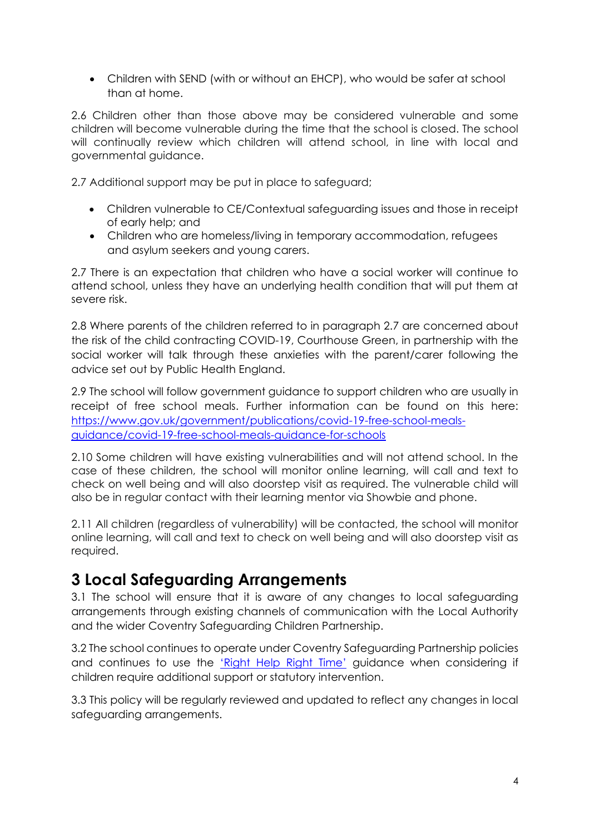• Children with SEND (with or without an EHCP), who would be safer at school than at home.

2.6 Children other than those above may be considered vulnerable and some children will become vulnerable during the time that the school is closed. The school will continually review which children will attend school, in line with local and governmental guidance.

2.7 Additional support may be put in place to safeguard;

- Children vulnerable to CE/Contextual safeguarding issues and those in receipt of early help; and
- Children who are homeless/living in temporary accommodation, refugees and asylum seekers and young carers.

2.7 There is an expectation that children who have a social worker will continue to attend school, unless they have an underlying health condition that will put them at severe risk.

2.8 Where parents of the children referred to in paragraph 2.7 are concerned about the risk of the child contracting COVID-19, Courthouse Green, in partnership with the social worker will talk through these anxieties with the parent/carer following the advice set out by Public Health England.

2.9 The school will follow government guidance to support children who are usually in receipt of free school meals. Further information can be found on this here: [https://www.gov.uk/government/publications/covid-19-free-school-meals](https://www.gov.uk/government/publications/covid-19-free-school-meals-guidance/covid-19-free-school-meals-guidance-for-schools)[guidance/covid-19-free-school-meals-guidance-for-schools](https://www.gov.uk/government/publications/covid-19-free-school-meals-guidance/covid-19-free-school-meals-guidance-for-schools)

2.10 Some children will have existing vulnerabilities and will not attend school. In the case of these children, the school will monitor online learning, will call and text to check on well being and will also doorstep visit as required. The vulnerable child will also be in regular contact with their learning mentor via Showbie and phone.

2.11 All children (regardless of vulnerability) will be contacted, the school will monitor online learning, will call and text to check on well being and will also doorstep visit as required.

### **3 Local Safeguarding Arrangements**

3.1 The school will ensure that it is aware of any changes to local safeguarding arrangements through existing channels of communication with the Local Authority and the wider Coventry Safeguarding Children Partnership.

3.2 The school continues to operate under Coventry Safeguarding Partnership policies and continues to use the ['Right Help Right Time'](https://www.coventry.gov.uk/righthelprighttime) guidance when considering if children require additional support or statutory intervention.

3.3 This policy will be regularly reviewed and updated to reflect any changes in local safeguarding arrangements.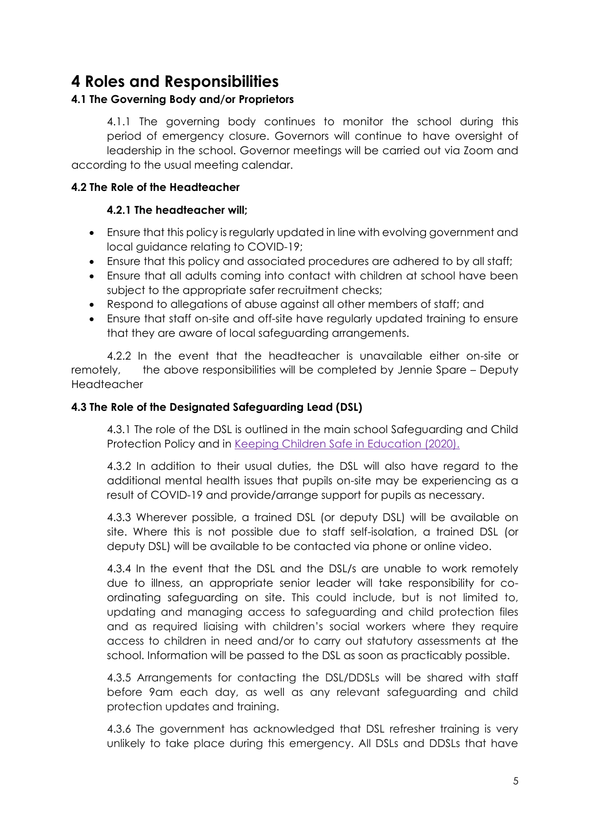### **4 Roles and Responsibilities**

### **4.1 The Governing Body and/or Proprietors**

4.1.1 The governing body continues to monitor the school during this period of emergency closure. Governors will continue to have oversight of leadership in the school. Governor meetings will be carried out via Zoom and according to the usual meeting calendar.

#### **4.2 The Role of the Headteacher**

#### **4.2.1 The headteacher will;**

- Ensure that this policy is regularly updated in line with evolving government and local guidance relating to COVID-19;
- Ensure that this policy and associated procedures are adhered to by all staff;
- Ensure that all adults coming into contact with children at school have been subject to the appropriate safer recruitment checks;
- Respond to allegations of abuse against all other members of staff; and
- Ensure that staff on-site and off-site have regularly updated training to ensure that they are aware of local safeguarding arrangements.

4.2.2 In the event that the headteacher is unavailable either on-site or remotely, the above responsibilities will be completed by Jennie Spare – Deputy Headteacher

#### **4.3 The Role of the Designated Safeguarding Lead (DSL)**

4.3.1 The role of the DSL is outlined in the main school Safeguarding and Child Protection Policy and in [Keeping Children Safe in Education \(2020\).](https://assets.publishing.service.gov.uk/government/uploads/system/uploads/attachment_data/file/835733/Keeping_children_safe_in_education_2019.pdf)

4.3.2 In addition to their usual duties, the DSL will also have regard to the additional mental health issues that pupils on-site may be experiencing as a result of COVID-19 and provide/arrange support for pupils as necessary.

4.3.3 Wherever possible, a trained DSL (or deputy DSL) will be available on site. Where this is not possible due to staff self-isolation, a trained DSL (or deputy DSL) will be available to be contacted via phone or online video.

4.3.4 In the event that the DSL and the DSL/s are unable to work remotely due to illness, an appropriate senior leader will take responsibility for coordinating safeguarding on site. This could include, but is not limited to, updating and managing access to safeguarding and child protection files and as required liaising with children's social workers where they require access to children in need and/or to carry out statutory assessments at the school. Information will be passed to the DSL as soon as practicably possible.

4.3.5 Arrangements for contacting the DSL/DDSLs will be shared with staff before 9am each day, as well as any relevant safeguarding and child protection updates and training.

4.3.6 The government has acknowledged that DSL refresher training is very unlikely to take place during this emergency. All DSLs and DDSLs that have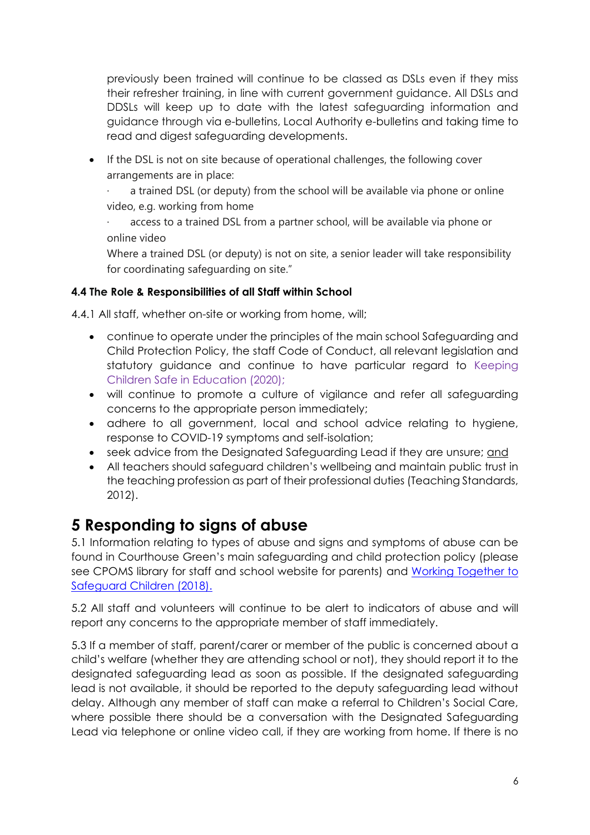previously been trained will continue to be classed as DSLs even if they miss their refresher training, in line with current government guidance. All DSLs and DDSLs will keep up to date with the latest safeguarding information and guidance through via e-bulletins, Local Authority e-bulletins and taking time to read and digest safeguarding developments.

• If the DSL is not on site because of operational challenges, the following cover arrangements are in place:

a trained DSL (or deputy) from the school will be available via phone or online video, e.g. working from home

access to a trained DSL from a partner school, will be available via phone or online video

Where a trained DSL (or deputy) is not on site, a senior leader will take responsibility for coordinating safeguarding on site."

### **4.4 The Role & Responsibilities of all Staff within School**

4.4.1 All staff, whether on-site or working from home, will;

- continue to operate under the principles of the main school Safeguarding and Child Protection Policy, the staff Code of Conduct, all relevant legislation and statutory guidance and continue to have particular regard to Keeping Children Safe in Education (2020);
- will continue to promote a culture of vigilance and refer all safeguarding concerns to the appropriate person immediately;
- adhere to all government, local and school advice relating to hygiene, response to COVID-19 symptoms and self-isolation;
- seek advice from the Designated Safeguarding Lead if they are unsure; and
- All teachers should safeguard children's wellbeing and maintain public trust in the teaching profession as part of their professional duties (Teaching Standards, 2012).

# **5 Responding to signs of abuse**

5.1 Information relating to types of abuse and signs and symptoms of abuse can be found in Courthouse Green's main safeguarding and child protection policy (please see CPOMS library for staff and school website for parents) and Working Together to [Safeguard Children \(2018\).](https://www.gov.uk/government/publications/working-together-to-safeguard-children--2)

5.2 All staff and volunteers will continue to be alert to indicators of abuse and will report any concerns to the appropriate member of staff immediately.

5.3 If a member of staff, parent/carer or member of the public is concerned about a child's welfare (whether they are attending school or not), they should report it to the designated safeguarding lead as soon as possible. If the designated safeguarding lead is not available, it should be reported to the deputy safeguarding lead without delay. Although any member of staff can make a referral to Children's Social Care, where possible there should be a conversation with the Designated Safeguarding Lead via telephone or online video call, if they are working from home. If there is no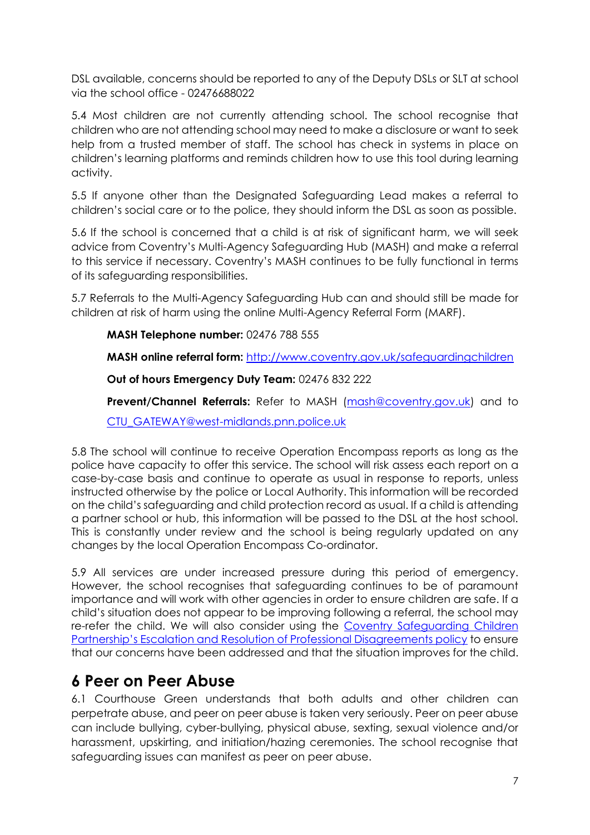DSL available, concerns should be reported to any of the Deputy DSLs or SLT at school via the school office - 02476688022

5.4 Most children are not currently attending school. The school recognise that children who are not attending school may need to make a disclosure or want to seek help from a trusted member of staff. The school has check in systems in place on children's learning platforms and reminds children how to use this tool during learning activity.

5.5 If anyone other than the Designated Safeguarding Lead makes a referral to children's social care or to the police, they should inform the DSL as soon as possible.

5.6 If the school is concerned that a child is at risk of significant harm, we will seek advice from Coventry's Multi-Agency Safeguarding Hub (MASH) and make a referral to this service if necessary. Coventry's MASH continues to be fully functional in terms of its safeguarding responsibilities.

5.7 Referrals to the Multi-Agency Safeguarding Hub can and should still be made for children at risk of harm using the online Multi-Agency Referral Form (MARF).

#### **MASH Telephone number:** 02476 788 555

**MASH online referral form:** <http://www.coventry.gov.uk/safeguardingchildren>

**Out of hours Emergency Duty Team:** 02476 832 222

**Prevent/Channel Referrals:** Refer to MASH [\(mash@coventry.gov.uk\)](mailto:mash@coventry.gov.uk) and to

[CTU\\_GATEWAY@west-midlands.pnn.police.uk](mailto:CTU_GATEWAY@west-midlands.pnn.police.uk)

5.8 The school will continue to receive Operation Encompass reports as long as the police have capacity to offer this service. The school will risk assess each report on a case-by-case basis and continue to operate as usual in response to reports, unless instructed otherwise by the police or Local Authority. This information will be recorded on the child's safeguarding and child protection record as usual. If a child is attending a partner school or hub, this information will be passed to the DSL at the host school. This is constantly under review and the school is being regularly updated on any changes by the local Operation Encompass Co-ordinator.

5.9 All services are under increased pressure during this period of emergency. However, the school recognises that safeguarding continues to be of paramount importance and will work with other agencies in order to ensure children are safe. If a child's situation does not appear to be improving following a referral, the school may re-refer the child. We will also consider using the [Coventry Safeguarding Children](https://www.proceduresonline.com/covandwarksscb/p_escalation_resol.html)  [Partnership's Escalation and Resolution of Professional Disagreements policy](https://www.proceduresonline.com/covandwarksscb/p_escalation_resol.html) to ensure that our concerns have been addressed and that the situation improves for the child.

### **6 Peer on Peer Abuse**

6.1 Courthouse Green understands that both adults and other children can perpetrate abuse, and peer on peer abuse is taken very seriously. Peer on peer abuse can include bullying, cyber-bullying, physical abuse, sexting, sexual violence and/or harassment, upskirting, and initiation/hazing ceremonies. The school recognise that safeguarding issues can manifest as peer on peer abuse.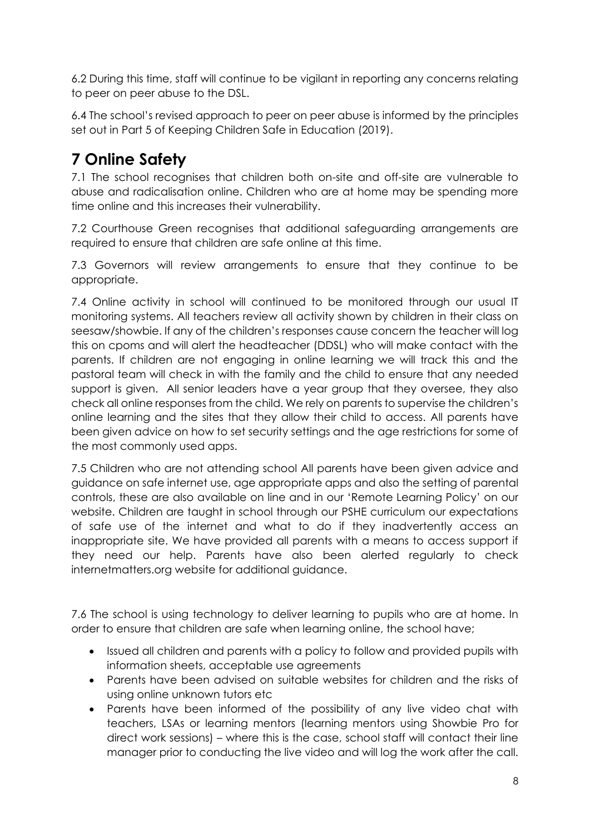6.2 During this time, staff will continue to be vigilant in reporting any concerns relating to peer on peer abuse to the DSL.

6.4 The school's revised approach to peer on peer abuse is informed by the principles set out in Part 5 of Keeping Children Safe in Education (2019).

# **7 Online Safety**

7.1 The school recognises that children both on-site and off-site are vulnerable to abuse and radicalisation online. Children who are at home may be spending more time online and this increases their vulnerability.

7.2 Courthouse Green recognises that additional safeguarding arrangements are required to ensure that children are safe online at this time.

7.3 Governors will review arrangements to ensure that they continue to be appropriate.

7.4 Online activity in school will continued to be monitored through our usual IT monitoring systems. All teachers review all activity shown by children in their class on seesaw/showbie. If any of the children's responses cause concern the teacher will log this on cpoms and will alert the headteacher (DDSL) who will make contact with the parents. If children are not engaging in online learning we will track this and the pastoral team will check in with the family and the child to ensure that any needed support is given. All senior leaders have a year group that they oversee, they also check all online responses from the child. We rely on parents to supervise the children's online learning and the sites that they allow their child to access. All parents have been given advice on how to set security settings and the age restrictions for some of the most commonly used apps.

7.5 Children who are not attending school All parents have been given advice and guidance on safe internet use, age appropriate apps and also the setting of parental controls, these are also available on line and in our 'Remote Learning Policy' on our website. Children are taught in school through our PSHE curriculum our expectations of safe use of the internet and what to do if they inadvertently access an inappropriate site. We have provided all parents with a means to access support if they need our help. Parents have also been alerted regularly to check internetmatters.org website for additional guidance.

7.6 The school is using technology to deliver learning to pupils who are at home. In order to ensure that children are safe when learning online, the school have;

- Issued all children and parents with a policy to follow and provided pupils with information sheets, acceptable use agreements
- Parents have been advised on suitable websites for children and the risks of using online unknown tutors etc
- Parents have been informed of the possibility of any live video chat with teachers, LSAs or learning mentors (learning mentors using Showbie Pro for direct work sessions) – where this is the case, school staff will contact their line manager prior to conducting the live video and will log the work after the call.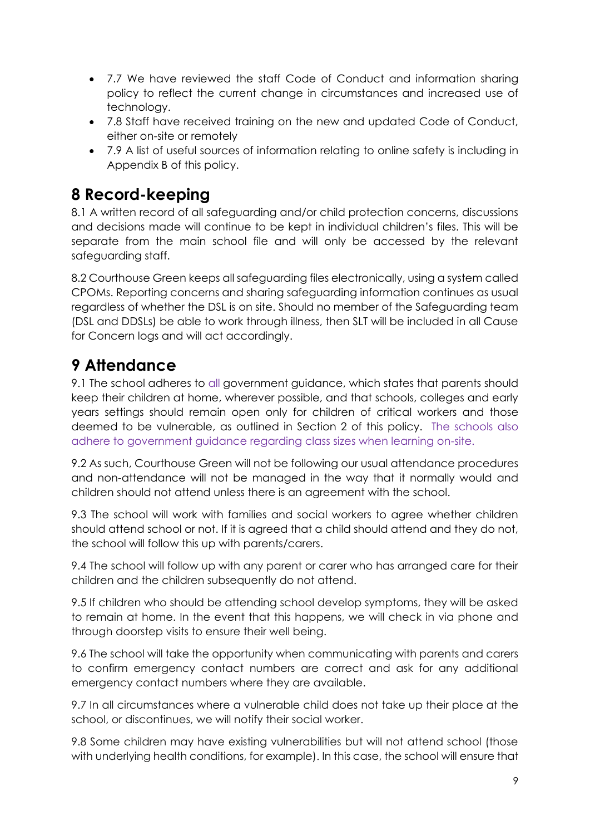- 7.7 We have reviewed the staff Code of Conduct and information sharing policy to reflect the current change in circumstances and increased use of technology.
- 7.8 Staff have received training on the new and updated Code of Conduct, either on-site or remotely
- 7.9 A list of useful sources of information relating to online safety is including in Appendix B of this policy.

# **8 Record-keeping**

8.1 A written record of all safeguarding and/or child protection concerns, discussions and decisions made will continue to be kept in individual children's files. This will be separate from the main school file and will only be accessed by the relevant safeguarding staff.

8.2 Courthouse Green keeps all safeguarding files electronically, using a system called CPOMs. Reporting concerns and sharing safeguarding information continues as usual regardless of whether the DSL is on site. Should no member of the Safeguarding team (DSL and DDSLs) be able to work through illness, then SLT will be included in all Cause for Concern logs and will act accordingly.

# **9 Attendance**

9.1 The school adheres to all government guidance, which states that parents should keep their children at home, wherever possible, and that schools, colleges and early years settings should remain open only for children of critical workers and those deemed to be vulnerable, as outlined in Section 2 of this policy. The schools also adhere to government guidance regarding class sizes when learning on-site.

9.2 As such, Courthouse Green will not be following our usual attendance procedures and non-attendance will not be managed in the way that it normally would and children should not attend unless there is an agreement with the school.

9.3 The school will work with families and social workers to agree whether children should attend school or not. If it is agreed that a child should attend and they do not, the school will follow this up with parents/carers.

9.4 The school will follow up with any parent or carer who has arranged care for their children and the children subsequently do not attend.

9.5 If children who should be attending school develop symptoms, they will be asked to remain at home. In the event that this happens, we will check in via phone and through doorstep visits to ensure their well being.

9.6 The school will take the opportunity when communicating with parents and carers to confirm emergency contact numbers are correct and ask for any additional emergency contact numbers where they are available.

9.7 In all circumstances where a vulnerable child does not take up their place at the school, or discontinues, we will notify their social worker.

9.8 Some children may have existing vulnerabilities but will not attend school (those with underlying health conditions, for example). In this case, the school will ensure that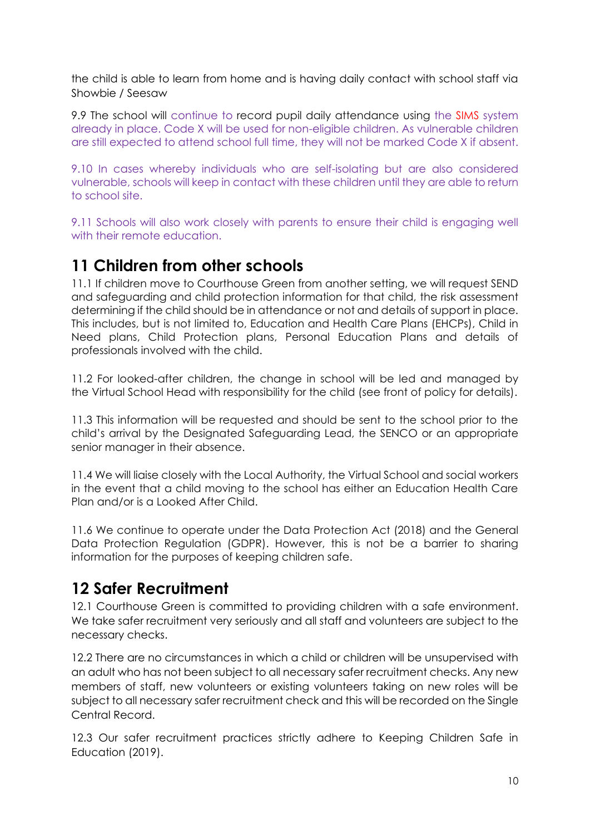the child is able to learn from home and is having daily contact with school staff via Showbie / Seesaw

9.9 The school will continue to record pupil daily attendance using the SIMS system already in place. Code X will be used for non-eligible children. As vulnerable children are still expected to attend school full time, they will not be marked Code X if absent.

9.10 In cases whereby individuals who are self-isolating but are also considered vulnerable, schools will keep in contact with these children until they are able to return to school site.

9.11 Schools will also work closely with parents to ensure their child is engaging well with their remote education.

### **11 Children from other schools**

11.1 If children move to Courthouse Green from another setting, we will request SEND and safeguarding and child protection information for that child, the risk assessment determining if the child should be in attendance or not and details of support in place. This includes, but is not limited to, Education and Health Care Plans (EHCPs), Child in Need plans, Child Protection plans, Personal Education Plans and details of professionals involved with the child.

11.2 For looked-after children, the change in school will be led and managed by the Virtual School Head with responsibility for the child (see front of policy for details).

11.3 This information will be requested and should be sent to the school prior to the child's arrival by the Designated Safeguarding Lead, the SENCO or an appropriate senior manager in their absence.

11.4 We will liaise closely with the Local Authority, the Virtual School and social workers in the event that a child moving to the school has either an Education Health Care Plan and/or is a Looked After Child.

11.6 We continue to operate under the Data Protection Act (2018) and the General Data Protection Regulation (GDPR). However, this is not be a barrier to sharing information for the purposes of keeping children safe.

# **12 Safer Recruitment**

12.1 Courthouse Green is committed to providing children with a safe environment. We take safer recruitment very seriously and all staff and volunteers are subject to the necessary checks.

12.2 There are no circumstances in which a child or children will be unsupervised with an adult who has not been subject to all necessary safer recruitment checks. Any new members of staff, new volunteers or existing volunteers taking on new roles will be subject to all necessary safer recruitment check and this will be recorded on the Single Central Record.

12.3 Our safer recruitment practices strictly adhere to Keeping Children Safe in Education (2019).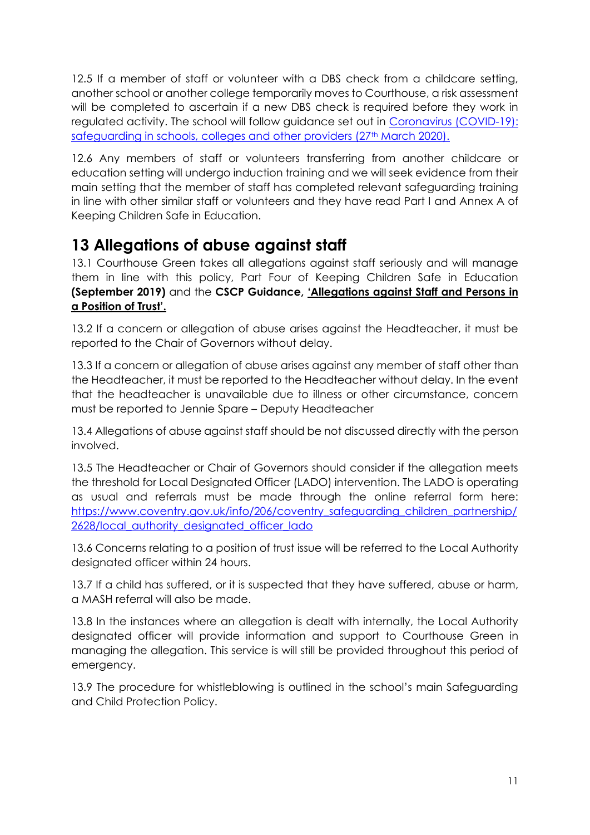12.5 If a member of staff or volunteer with a DBS check from a childcare setting, another school or another college temporarily moves to Courthouse, a risk assessment will be completed to ascertain if a new DBS check is required before they work in regulated activity. The school will follow guidance set out in [Coronavirus \(COVID-19\):](https://www.gov.uk/government/publications/covid-19-safeguarding-in-schools-colleges-and-other-providers/coronavirus-covid-19-safeguarding-in-schools-colleges-and-other-providers)  [safeguarding in schools, colleges and other providers \(27](https://www.gov.uk/government/publications/covid-19-safeguarding-in-schools-colleges-and-other-providers/coronavirus-covid-19-safeguarding-in-schools-colleges-and-other-providers)th March 2020).

12.6 Any members of staff or volunteers transferring from another childcare or education setting will undergo induction training and we will seek evidence from their main setting that the member of staff has completed relevant safeguarding training in line with other similar staff or volunteers and they have read Part I and Annex A of Keeping Children Safe in Education.

### **13 Allegations of abuse against staff**

13.1 Courthouse Green takes all allegations against staff seriously and will manage them in line with this policy, Part Four of Keeping Children Safe in Education **(September 2019)** and the **CSCP Guidance, ['Allegations against Staff and Persons in](http://www.proceduresonline.com/covandwarksscb/p_alleg_against_staff.html)  [a Position of Trust'.](http://www.proceduresonline.com/covandwarksscb/p_alleg_against_staff.html)**

13.2 If a concern or allegation of abuse arises against the Headteacher, it must be reported to the Chair of Governors without delay.

13.3 If a concern or allegation of abuse arises against any member of staff other than the Headteacher, it must be reported to the Headteacher without delay. In the event that the headteacher is unavailable due to illness or other circumstance, concern must be reported to Jennie Spare – Deputy Headteacher

13.4 Allegations of abuse against staff should be not discussed directly with the person involved.

13.5 The Headteacher or Chair of Governors should consider if the allegation meets the threshold for Local Designated Officer (LADO) intervention. The LADO is operating as usual and referrals must be made through the online referral form here: [https://www.coventry.gov.uk/info/206/coventry\\_safeguarding\\_children\\_partnership/](https://www.coventry.gov.uk/info/206/coventry_safeguarding_children_partnership/2628/local_authority_designated_officer_lado) [2628/local\\_authority\\_designated\\_officer\\_lado](https://www.coventry.gov.uk/info/206/coventry_safeguarding_children_partnership/2628/local_authority_designated_officer_lado)

13.6 Concerns relating to a position of trust issue will be referred to the Local Authority designated officer within 24 hours.

13.7 If a child has suffered, or it is suspected that they have suffered, abuse or harm, a MASH referral will also be made.

13.8 In the instances where an allegation is dealt with internally, the Local Authority designated officer will provide information and support to Courthouse Green in managing the allegation. This service is will still be provided throughout this period of emergency.

13.9 The procedure for whistleblowing is outlined in the school's main Safeguarding and Child Protection Policy.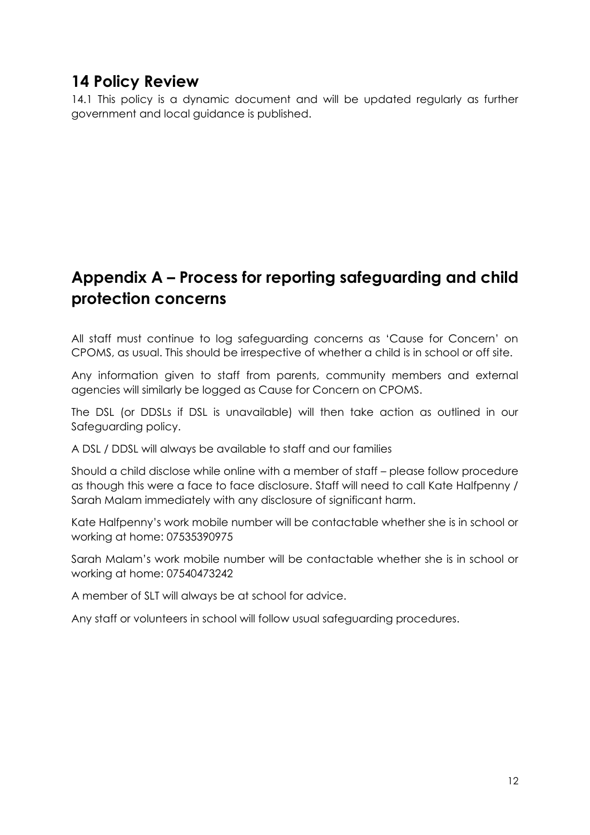# **14 Policy Review**

14.1 This policy is a dynamic document and will be updated regularly as further government and local guidance is published.

# **Appendix A – Process for reporting safeguarding and child protection concerns**

All staff must continue to log safeguarding concerns as 'Cause for Concern' on CPOMS, as usual. This should be irrespective of whether a child is in school or off site.

Any information given to staff from parents, community members and external agencies will similarly be logged as Cause for Concern on CPOMS.

The DSL (or DDSLs if DSL is unavailable) will then take action as outlined in our Safeguarding policy.

A DSL / DDSL will always be available to staff and our families

Should a child disclose while online with a member of staff – please follow procedure as though this were a face to face disclosure. Staff will need to call Kate Halfpenny / Sarah Malam immediately with any disclosure of significant harm.

Kate Halfpenny's work mobile number will be contactable whether she is in school or working at home: 07535390975

Sarah Malam's work mobile number will be contactable whether she is in school or working at home: 07540473242

A member of SLT will always be at school for advice.

Any staff or volunteers in school will follow usual safeguarding procedures.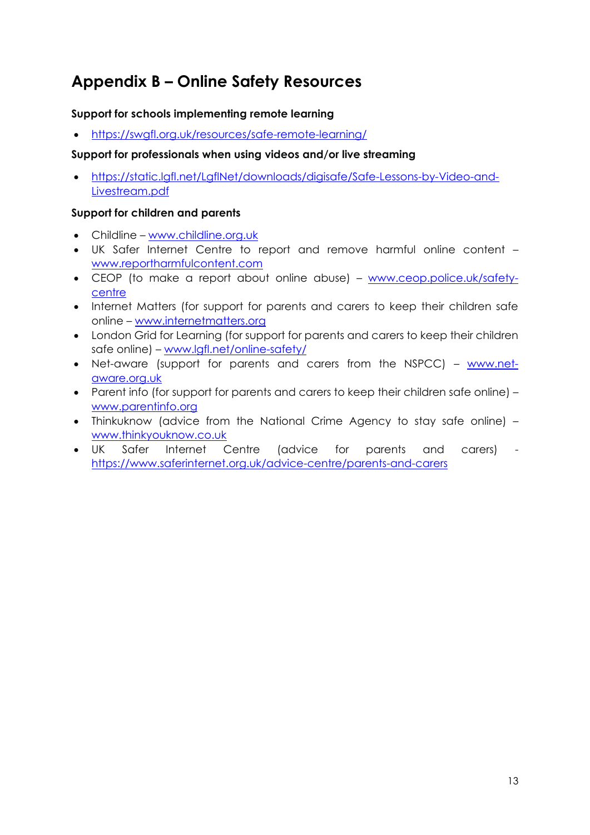# **Appendix B – Online Safety Resources**

### **Support for schools implementing remote learning**

• <https://swgfl.org.uk/resources/safe-remote-learning/>

#### **Support for professionals when using videos and/or live streaming**

• [https://static.lgfl.net/LgflNet/downloads/digisafe/Safe-Lessons-by-Video-and-](https://static.lgfl.net/LgflNet/downloads/digisafe/Safe-Lessons-by-Video-and-Livestream.pdf)[Livestream.pdf](https://static.lgfl.net/LgflNet/downloads/digisafe/Safe-Lessons-by-Video-and-Livestream.pdf)

#### **Support for children and parents**

- Childline [www.childline.org.uk](http://www.childline.org.uk/)
- UK Safer Internet Centre to report and remove harmful online content [www.reportharmfulcontent.com](http://www.reportharmfulcontent.com/)
- CEOP (to make a report about online abuse) [www.ceop.police.uk/safety](http://www.ceop.police.uk/safety-centre)[centre](http://www.ceop.police.uk/safety-centre)
- Internet Matters (for support for parents and carers to keep their children safe online – [www.internetmatters.org](http://www.internetmatters.org/)
- London Grid for Learning (for support for parents and carers to keep their children safe online) – [www.lgfl.net/online-safety/](http://www.lgfl.net/online-safety/)
- Net-aware (support for parents and carers from the NSPCC) [www.net](http://www.net-aware.org.uk/)[aware.org.uk](http://www.net-aware.org.uk/)
- Parent info (for support for parents and carers to keep their children safe online) [www.parentinfo.org](http://www.parentinfo.org/)
- Thinkuknow (advice from the National Crime Agency to stay safe online) [www.thinkyouknow.co.uk](http://www.thinkyouknow.co.uk/)
- UK Safer Internet Centre (advice for parents and carers) <https://www.saferinternet.org.uk/advice-centre/parents-and-carers>